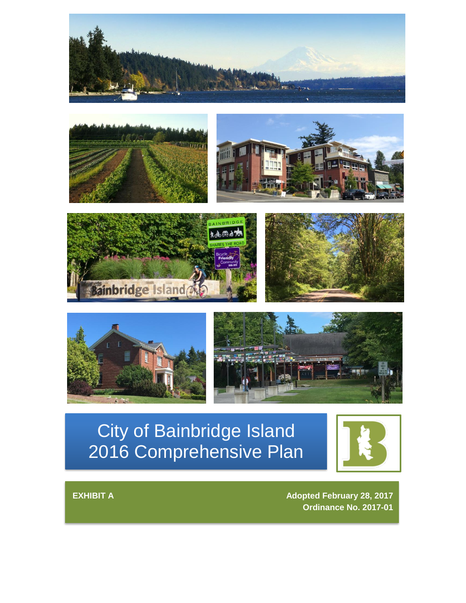







# City of Bainbridge Island 2016 Comprehensive Plan



**EXHIBIT A Adopted February 28, 2017 Ordinance No. 2017-01**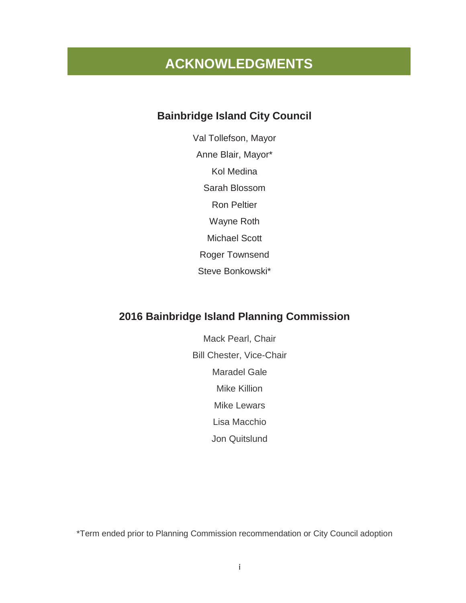## **ACKNOWLEDGMENTS**

### **Bainbridge Island City Council**

Val Tollefson, Mayor Anne Blair, Mayor\* Kol Medina Sarah Blossom Ron Peltier Wayne Roth Michael Scott Roger Townsend Steve Bonkowski\*

### **2016 Bainbridge Island Planning Commission**

Mack Pearl, Chair Bill Chester, Vice-Chair Maradel Gale Mike Killion Mike Lewars Lisa Macchio Jon Quitslund

\*Term ended prior to Planning Commission recommendation or City Council adoption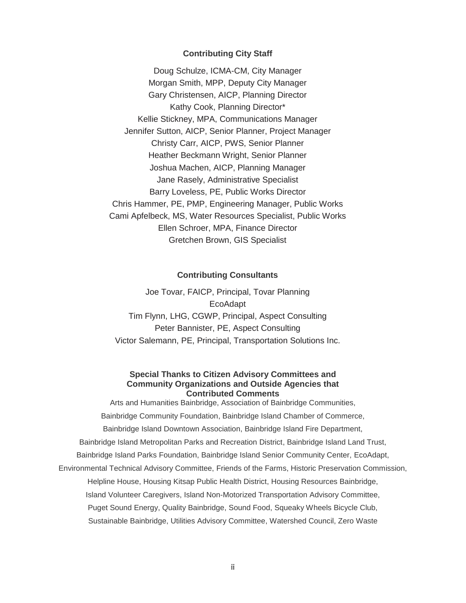#### **Contributing City Staff**

Doug Schulze, ICMA-CM, City Manager Morgan Smith, MPP, Deputy City Manager Gary Christensen, AICP, Planning Director Kathy Cook, Planning Director\* Kellie Stickney, MPA, Communications Manager Jennifer Sutton, AICP, Senior Planner, Project Manager Christy Carr, AICP, PWS, Senior Planner Heather Beckmann Wright, Senior Planner Joshua Machen, AICP, Planning Manager Jane Rasely, Administrative Specialist Barry Loveless, PE, Public Works Director Chris Hammer, PE, PMP, Engineering Manager, Public Works Cami Apfelbeck, MS, Water Resources Specialist, Public Works Ellen Schroer, MPA, Finance Director Gretchen Brown, GIS Specialist

#### **Contributing Consultants**

Joe Tovar, FAICP, Principal, Tovar Planning EcoAdapt Tim Flynn, LHG, CGWP, Principal, Aspect Consulting Peter Bannister, PE, Aspect Consulting Victor Salemann, PE, Principal, Transportation Solutions Inc.

#### **Special Thanks to Citizen Advisory Committees and Community Organizations and Outside Agencies that Contributed Comments**

Arts and Humanities Bainbridge, Association of Bainbridge Communities, Bainbridge Community Foundation, Bainbridge Island Chamber of Commerce, Bainbridge Island Downtown Association, Bainbridge Island Fire Department, Bainbridge Island Metropolitan Parks and Recreation District, Bainbridge Island Land Trust, Bainbridge Island Parks Foundation, Bainbridge Island Senior Community Center, EcoAdapt, Environmental Technical Advisory Committee, Friends of the Farms, Historic Preservation Commission, Helpline House, Housing Kitsap Public Health District, Housing Resources Bainbridge, Island Volunteer Caregivers, Island Non-Motorized Transportation Advisory Committee, Puget Sound Energy, Quality Bainbridge, Sound Food, Squeaky Wheels Bicycle Club, Sustainable Bainbridge, Utilities Advisory Committee, Watershed Council, Zero Waste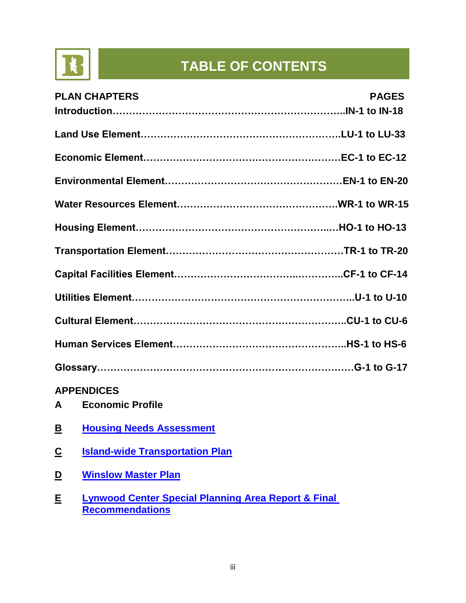

# **TABLE OF CONTENTS**

| <b>PLAN CHAPTERS</b> | <b>PAGES</b> |
|----------------------|--------------|
|                      |              |
|                      |              |
|                      |              |
|                      |              |
|                      |              |
|                      |              |
|                      |              |
|                      |              |
|                      |              |
|                      |              |
|                      |              |
|                      |              |
| <b>APPENDICES</b>    |              |

- **A Economic Profile**
- **B [Housing Needs Assessment](http://www.bainbridgewa.gov/DocumentCenter/View/6606)**
- **C [Island-wide Transportation Plan](http://www.bainbridgewa.gov/708/Island-wide-Transportation-Plan-IWTP-Upd)**
- **D [Winslow Master Plan](http://www.bainbridgewa.gov/431/Winslow-Master-Plan)**
- **E [Lynwood Center Special Planning Area Report & Final](http://www.bainbridgewa.gov/DocumentCenter/View/6606)  [Recommendations](http://www.bainbridgewa.gov/DocumentCenter/View/6606)**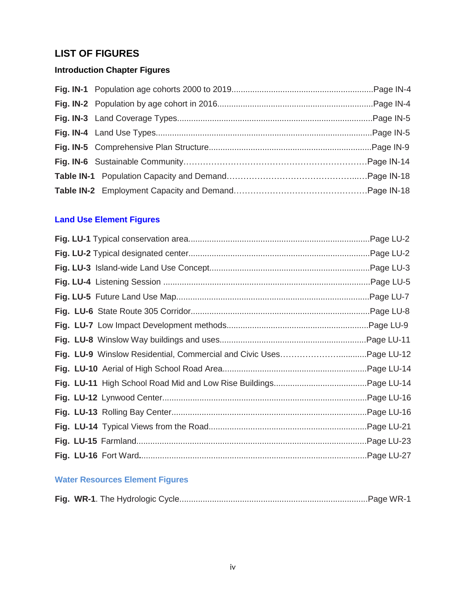### **LIST OF FIGURES**

### **Introduction Chapter Figures**

### **Land Use Element Figures**

|  | Page LU-2 |
|--|-----------|
|  |           |
|  |           |
|  |           |
|  |           |
|  |           |
|  |           |
|  |           |
|  |           |
|  |           |
|  |           |
|  |           |
|  |           |
|  |           |
|  |           |
|  |           |

### **Water Resources Element Figures**

|--|--|--|--|--|--|